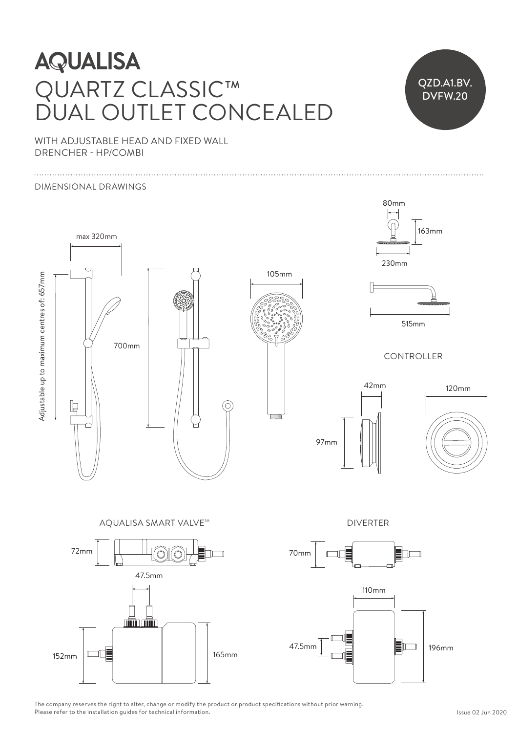## **AQUALISA** QUARTZ CLASSIC™  $250$ DUAL OUTLET CONCEALED  $\Box$  OLITILET CONIC NHTI ET CONICE



WITH ADJUSTABLE HEAD AND FIXED WALL DRENCHER - HP/COMBI

## DIMENSIONAL DRAWINGS



The company reserves the right to alter, change or modify the product or product specifications without prior warning. Please refer to the installation guides for technical information. iod<br>Ifo